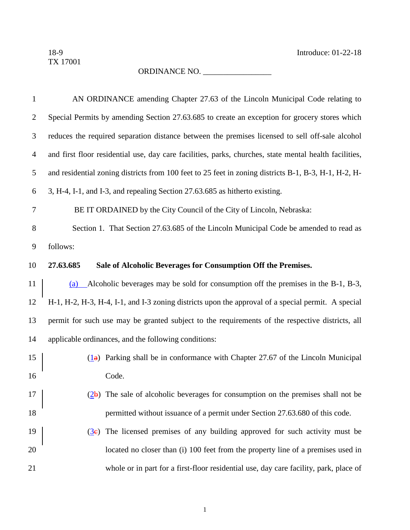## ORDINANCE NO. \_\_\_\_\_\_\_\_\_\_\_\_\_\_\_\_\_

| 1              | AN ORDINANCE amending Chapter 27.63 of the Lincoln Municipal Code relating to                                            |  |  |  |
|----------------|--------------------------------------------------------------------------------------------------------------------------|--|--|--|
| $\overline{c}$ | Special Permits by amending Section 27.63.685 to create an exception for grocery stores which                            |  |  |  |
| 3              | reduces the required separation distance between the premises licensed to sell off-sale alcohol                          |  |  |  |
| $\overline{4}$ | and first floor residential use, day care facilities, parks, churches, state mental health facilities,                   |  |  |  |
| 5              | and residential zoning districts from 100 feet to 25 feet in zoning districts B-1, B-3, H-1, H-2, H-                     |  |  |  |
| 6              | 3, H-4, I-1, and I-3, and repealing Section 27.63.685 as hitherto existing.                                              |  |  |  |
| 7              | BE IT ORDAINED by the City Council of the City of Lincoln, Nebraska:                                                     |  |  |  |
| 8              | Section 1. That Section 27.63.685 of the Lincoln Municipal Code be amended to read as                                    |  |  |  |
| 9              | follows:                                                                                                                 |  |  |  |
| 10             | Sale of Alcoholic Beverages for Consumption Off the Premises.<br>27.63.685                                               |  |  |  |
| 11             | Alcoholic beverages may be sold for consumption off the premises in the B-1, B-3,<br>(a)                                 |  |  |  |
| 12             | H-1, H-2, H-3, H-4, I-1, and I-3 zoning districts upon the approval of a special permit. A special                       |  |  |  |
| 13             | permit for such use may be granted subject to the requirements of the respective districts, all                          |  |  |  |
| 14             | applicable ordinances, and the following conditions:                                                                     |  |  |  |
| 15             | $(\frac{1}{a})$ Parking shall be in conformance with Chapter 27.67 of the Lincoln Municipal                              |  |  |  |
| 16             | Code.                                                                                                                    |  |  |  |
| 17             | $(2b)$ The sale of alcoholic beverages for consumption on the premises shall not be                                      |  |  |  |
| 18             | permitted without issuance of a permit under Section 27.63.680 of this code.                                             |  |  |  |
| 19             | The licensed premises of any building approved for such activity must be<br>$\left( \underline{3} \underline{e} \right)$ |  |  |  |
| 20             | located no closer than (i) 100 feet from the property line of a premises used in                                         |  |  |  |
| 21             | whole or in part for a first-floor residential use, day care facility, park, place of                                    |  |  |  |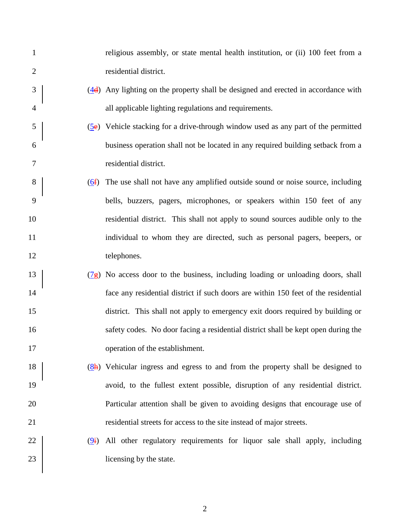| $\mathbf{1}$   |                  | religious assembly, or state mental health institution, or (ii) 100 feet from a                          |
|----------------|------------------|----------------------------------------------------------------------------------------------------------|
| $\overline{2}$ |                  | residential district.                                                                                    |
| 3              |                  | $\left(\frac{4}{4}\right)$ Any lighting on the property shall be designed and erected in accordance with |
| $\overline{4}$ |                  | all applicable lighting regulations and requirements.                                                    |
| 5              |                  | $(5e)$ Vehicle stacking for a drive-through window used as any part of the permitted                     |
| 6              |                  | business operation shall not be located in any required building setback from a                          |
| 7              |                  | residential district.                                                                                    |
| 8              | $\underline{6f}$ | The use shall not have any amplified outside sound or noise source, including                            |
| 9              |                  | bells, buzzers, pagers, microphones, or speakers within 150 feet of any                                  |
| 10             |                  | residential district. This shall not apply to sound sources audible only to the                          |
| 11             |                  | individual to whom they are directed, such as personal pagers, beepers, or                               |
| 12             |                  | telephones.                                                                                              |
| 13             |                  | $(\frac{7}{5})$ No access door to the business, including loading or unloading doors, shall              |
| 14             |                  | face any residential district if such doors are within 150 feet of the residential                       |
| 15             |                  | district. This shall not apply to emergency exit doors required by building or                           |
| 16             |                  | safety codes. No door facing a residential district shall be kept open during the                        |
| 17             |                  | operation of the establishment.                                                                          |
| 18             |                  | $(8h)$ Vehicular ingress and egress to and from the property shall be designed to                        |
| 19             |                  | avoid, to the fullest extent possible, disruption of any residential district.                           |
| 20             |                  | Particular attention shall be given to avoiding designs that encourage use of                            |
| 21             |                  | residential streets for access to the site instead of major streets.                                     |
| 22             | (9i)             | All other regulatory requirements for liquor sale shall apply, including                                 |
| 23             |                  | licensing by the state.                                                                                  |
|                |                  |                                                                                                          |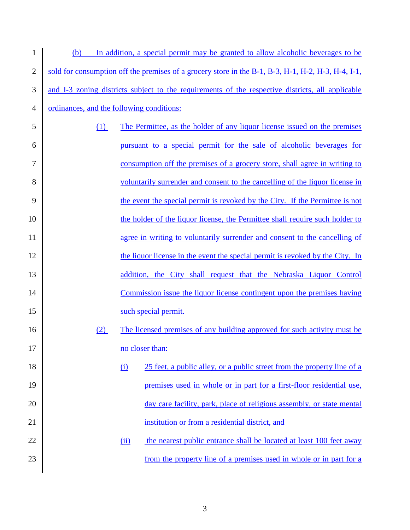| $\mathbf{1}$   | (b)                                                                                              |                                                                         | In addition, a special permit may be granted to allow alcoholic beverages to be                    |
|----------------|--------------------------------------------------------------------------------------------------|-------------------------------------------------------------------------|----------------------------------------------------------------------------------------------------|
| $\overline{2}$ |                                                                                                  |                                                                         | sold for consumption off the premises of a grocery store in the B-1, B-3, H-1, H-2, H-3, H-4, I-1, |
| 3              | and I-3 zoning districts subject to the requirements of the respective districts, all applicable |                                                                         |                                                                                                    |
| 4              | ordinances, and the following conditions:                                                        |                                                                         |                                                                                                    |
| 5              | (1)                                                                                              |                                                                         | The Permittee, as the holder of any liquor license issued on the premises                          |
| 6              |                                                                                                  |                                                                         | pursuant to a special permit for the sale of alcoholic beverages for                               |
| 7              |                                                                                                  |                                                                         | consumption off the premises of a grocery store, shall agree in writing to                         |
| 8              |                                                                                                  |                                                                         | voluntarily surrender and consent to the cancelling of the liquor license in                       |
| 9              |                                                                                                  |                                                                         | the event the special permit is revoked by the City. If the Permittee is not                       |
| 10             |                                                                                                  |                                                                         | the holder of the liquor license, the Permittee shall require such holder to                       |
| 11             |                                                                                                  |                                                                         | agree in writing to voluntarily surrender and consent to the cancelling of                         |
| 12             |                                                                                                  |                                                                         | the liquor license in the event the special permit is revoked by the City. In                      |
| 13             |                                                                                                  |                                                                         | addition, the City shall request that the Nebraska Liquor Control                                  |
| 14             |                                                                                                  | Commission issue the liquor license contingent upon the premises having |                                                                                                    |
| 15             |                                                                                                  |                                                                         | such special permit.                                                                               |
| 16             | (2)                                                                                              |                                                                         | The licensed premises of any building approved for such activity must be                           |
| 17             |                                                                                                  |                                                                         | no closer than:                                                                                    |
| 18             |                                                                                                  | $\Omega$                                                                | 25 feet, a public alley, or a public street from the property line of a                            |
| 19             |                                                                                                  |                                                                         | premises used in whole or in part for a first-floor residential use,                               |
| 20             |                                                                                                  |                                                                         | day care facility, park, place of religious assembly, or state mental                              |
| 21             |                                                                                                  |                                                                         | institution or from a residential district, and                                                    |
| 22             |                                                                                                  | (ii)                                                                    | the nearest public entrance shall be located at least 100 feet away                                |
| 23             |                                                                                                  |                                                                         | from the property line of a premises used in whole or in part for a                                |
|                |                                                                                                  |                                                                         |                                                                                                    |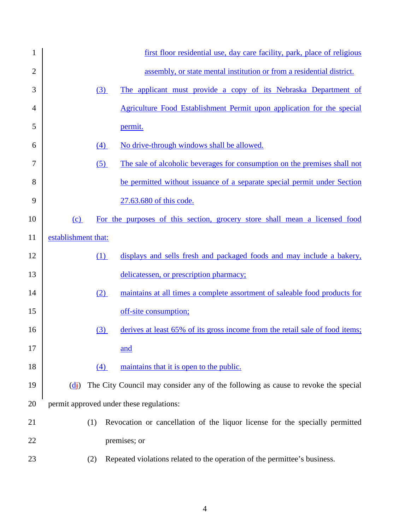| 1              |                                   | first floor residential use, day care facility, park, place of religious          |
|----------------|-----------------------------------|-----------------------------------------------------------------------------------|
| $\overline{2}$ |                                   | assembly, or state mental institution or from a residential district.             |
| 3              | (3)                               | The applicant must provide a copy of its Nebraska Department of                   |
| 4              |                                   | Agriculture Food Establishment Permit upon application for the special            |
| 5              |                                   | permit.                                                                           |
| 6              | (4)                               | No drive-through windows shall be allowed.                                        |
| 7              | (5)                               | The sale of alcoholic beverages for consumption on the premises shall not         |
| 8              |                                   | be permitted without issuance of a separate special permit under Section          |
| 9              |                                   | 27.63.680 of this code.                                                           |
| 10             | (c)                               | For the purposes of this section, grocery store shall mean a licensed food        |
| 11             | establishment that:               |                                                                                   |
| 12             | (1)                               | displays and sells fresh and packaged foods and may include a bakery,             |
| 13             |                                   | delicatessen, or prescription pharmacy;                                           |
| 14             | (2)                               | maintains at all times a complete assortment of saleable food products for        |
| 15             |                                   | off-site consumption;                                                             |
| 16             | (3)                               | derives at least 65% of its gross income from the retail sale of food items;      |
| 17             |                                   | <u>and</u>                                                                        |
| 18             | (4)                               | maintains that it is open to the public.                                          |
| 19             | $\frac{d\mathbf{i}}{d\mathbf{j}}$ | The City Council may consider any of the following as cause to revoke the special |
| 20             |                                   | permit approved under these regulations:                                          |
| 21             | (1)                               | Revocation or cancellation of the liquor license for the specially permitted      |
| 22             |                                   | premises; or                                                                      |
| 23             | (2)                               | Repeated violations related to the operation of the permittee's business.         |